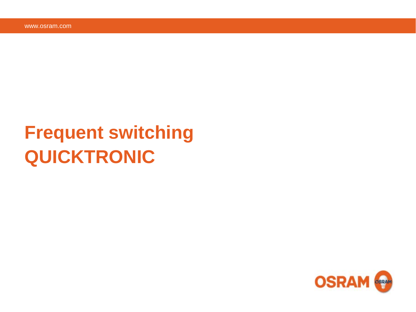## **Frequent switching QUICKTRONIC**

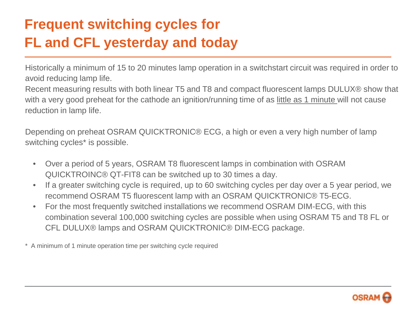## **Frequent switching cycles for FL and CFL yesterday and today**

Historically a minimum of 15 to 20 minutes lamp operation in a switchstart circuit was required in order to avoid reducing lamp life.

Recent measuring results with both linear T5 and T8 and compact fluorescent lamps DULUX® show that with a very good preheat for the cathode an ignition/running time of as little as 1 minute will not cause reduction in lamp life.

Depending on preheat OSRAM QUICKTRONIC® ECG, a high or even a very high number of lamp switching cycles<sup>\*</sup> is possible.

- Over a period of 5 years, OSRAM T8 fluorescent lamps in combination with OSRAM QUICKTROINC® QT-FIT8 can be switched up to 30 times a day.
- If a greater switching cycle is required, up to 60 switching cycles per day over a 5 year period, we recommend OSRAM T5 fluorescent lamp with an OSRAM QUICKTRONIC® T5-ECG.
- For the most frequently switched installations we recommend OSRAM DIM-ECG, with this combination several 100,000 switching cycles are possible when using OSRAM T5 and T8 FL or CFL DULUX® lamps and OSRAM QUICKTRONIC® DIM-ECG package.
- \* A minimum of 1 minute operation time per switching cycle required